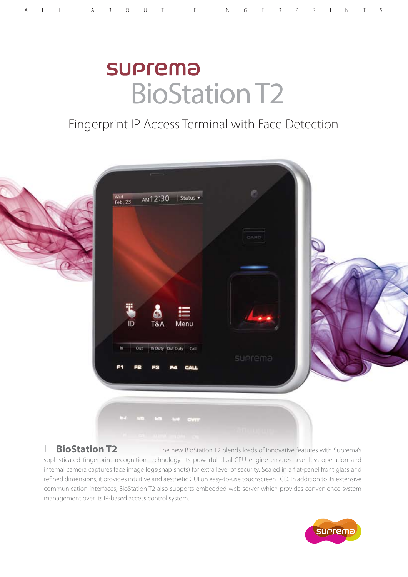# **SUPrema** BioStation T2

## Fingerprint IP Access Terminal with Face Detection



### **BioStation T2** I The new BioStation T2 blends loads of innovative features with Suprema's

sophisticated fingerprint recognition technology. Its powerful dual-CPU engine ensures seamless operation and internal camera captures face image logs(snap shots) for extra level of security. Sealed in a flat-panel front glass and refined dimensions, it provides intuitive and aesthetic GUI on easy-to-use touchscreen LCD. In addition to its extensive communication interfaces, BioStation T2 also supports embedded web server which provides convenience system management over its IP-based access control system.